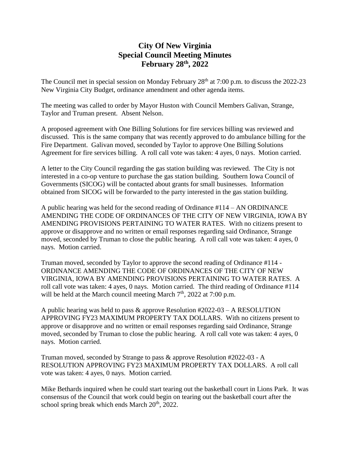## **City Of New Virginia Special Council Meeting Minutes February 28th, 2022**

The Council met in special session on Monday February 28<sup>th</sup> at 7:00 p.m. to discuss the 2022-23 New Virginia City Budget, ordinance amendment and other agenda items.

The meeting was called to order by Mayor Huston with Council Members Galivan, Strange, Taylor and Truman present. Absent Nelson.

A proposed agreement with One Billing Solutions for fire services billing was reviewed and discussed. This is the same company that was recently approved to do ambulance billing for the Fire Department. Galivan moved, seconded by Taylor to approve One Billing Solutions Agreement for fire services billing. A roll call vote was taken: 4 ayes, 0 nays. Motion carried.

A letter to the City Council regarding the gas station building was reviewed. The City is not interested in a co-op venture to purchase the gas station building. Southern Iowa Council of Governments (SICOG) will be contacted about grants for small businesses. Information obtained from SICOG will be forwarded to the party interested in the gas station building.

A public hearing was held for the second reading of Ordinance #114 – AN ORDINANCE AMENDING THE CODE OF ORDINANCES OF THE CITY OF NEW VIRGINIA, IOWA BY AMENDING PROVISIONS PERTAINING TO WATER RATES. With no citizens present to approve or disapprove and no written or email responses regarding said Ordinance, Strange moved, seconded by Truman to close the public hearing. A roll call vote was taken: 4 ayes, 0 nays. Motion carried.

Truman moved, seconded by Taylor to approve the second reading of Ordinance #114 - ORDINANCE AMENDING THE CODE OF ORDINANCES OF THE CITY OF NEW VIRGINIA, IOWA BY AMENDING PROVISIONS PERTAINING TO WATER RATES. A roll call vote was taken: 4 ayes, 0 nays. Motion carried. The third reading of Ordinance #114 will be held at the March council meeting March  $7<sup>th</sup>$ , 2022 at 7:00 p.m.

A public hearing was held to pass & approve Resolution #2022-03 – A RESOLUTION APPROVING FY23 MAXIMUM PROPERTY TAX DOLLARS. With no citizens present to approve or disapprove and no written or email responses regarding said Ordinance, Strange moved, seconded by Truman to close the public hearing. A roll call vote was taken: 4 ayes, 0 nays. Motion carried.

Truman moved, seconded by Strange to pass & approve Resolution #2022-03 - A RESOLUTION APPROVING FY23 MAXIMUM PROPERTY TAX DOLLARS. A roll call vote was taken: 4 ayes, 0 nays. Motion carried.

Mike Bethards inquired when he could start tearing out the basketball court in Lions Park. It was consensus of the Council that work could begin on tearing out the basketball court after the school spring break which ends March  $20<sup>th</sup>$ , 2022.